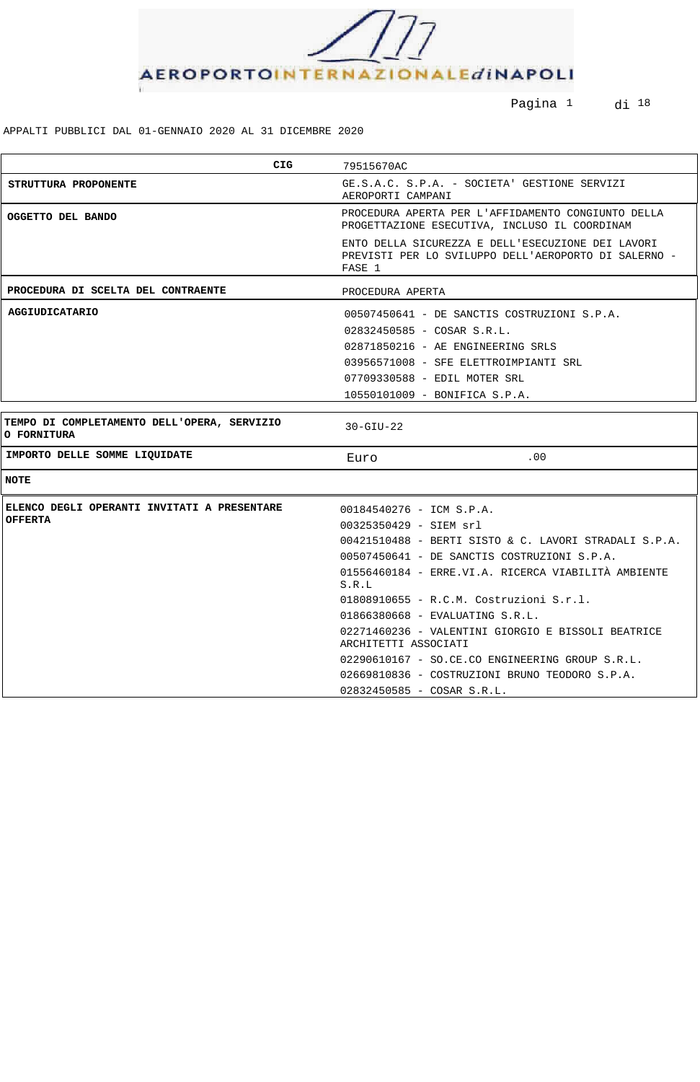

Pagina <sup>1</sup> di <sup>18</sup>

| <b>CIG</b>                                                        | 79515670AC                                                                                                          |  |
|-------------------------------------------------------------------|---------------------------------------------------------------------------------------------------------------------|--|
| STRUTTURA PROPONENTE                                              | GE.S.A.C. S.P.A. - SOCIETA' GESTIONE SERVIZI<br>AEROPORTI CAMPANI                                                   |  |
| OGGETTO DEL BANDO                                                 | PROCEDURA APERTA PER L'AFFIDAMENTO CONGIUNTO DELLA<br>PROGETTAZIONE ESECUTIVA, INCLUSO IL COORDINAM                 |  |
|                                                                   | ENTO DELLA SICUREZZA E DELL'ESECUZIONE DEI LAVORI<br>PREVISTI PER LO SVILUPPO DELL'AEROPORTO DI SALERNO -<br>FASE 1 |  |
| PROCEDURA DI SCELTA DEL CONTRAENTE                                | PROCEDURA APERTA                                                                                                    |  |
| <b>AGGIUDICATARIO</b>                                             | 00507450641 - DE SANCTIS COSTRUZIONI S.P.A.                                                                         |  |
|                                                                   | 02832450585 - COSAR S.R.L.                                                                                          |  |
|                                                                   | 02871850216 - AE ENGINEERING SRLS                                                                                   |  |
|                                                                   | 03956571008 - SFE ELETTROIMPIANTI SRL                                                                               |  |
|                                                                   | 07709330588 - EDIL MOTER SRL                                                                                        |  |
|                                                                   | 10550101009 - BONIFICA S.P.A.                                                                                       |  |
|                                                                   |                                                                                                                     |  |
| TEMPO DI COMPLETAMENTO DELL'OPERA, SERVIZIO<br><b>O FORNITURA</b> | $30 - GIU - 22$                                                                                                     |  |
| IMPORTO DELLE SOMME LIQUIDATE                                     | .00<br>Euro                                                                                                         |  |
| <b>NOTE</b>                                                       |                                                                                                                     |  |
| ELENCO DEGLI OPERANTI INVITATI A PRESENTARE                       | 00184540276 - ICM S.P.A.                                                                                            |  |
| <b>OFFERTA</b>                                                    | $00325350429 - SIEM srl$                                                                                            |  |
|                                                                   | 00421510488 - BERTI SISTO & C. LAVORI STRADALI S.P.A.                                                               |  |
|                                                                   | 00507450641 - DE SANCTIS COSTRUZIONI S.P.A.                                                                         |  |
|                                                                   | 01556460184 - ERRE.VI.A. RICERCA VIABILITÀ AMBIENTE<br>S.R.L                                                        |  |
|                                                                   | 01808910655 - R.C.M. Costruzioni S.r.l.                                                                             |  |
|                                                                   | 01866380668 - EVALUATING S.R.L.                                                                                     |  |
|                                                                   | 02271460236 - VALENTINI GIORGIO E BISSOLI BEATRICE<br>ARCHITETTI ASSOCIATI                                          |  |
|                                                                   | 02290610167 - SO.CE.CO ENGINEERING GROUP S.R.L.                                                                     |  |
|                                                                   | 02669810836 - COSTRUZIONI BRUNO TEODORO S.P.A.                                                                      |  |
|                                                                   | 02832450585 - COSAR S.R.L.                                                                                          |  |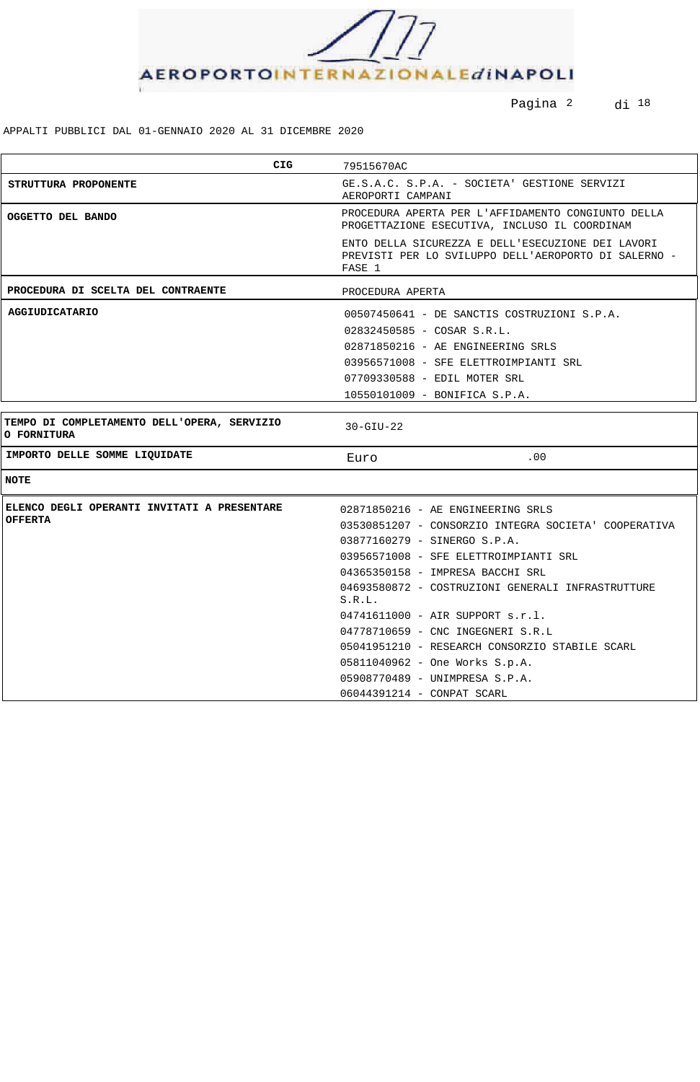

Pagina <sup>2</sup> di <sup>18</sup>

| CIG                                                        | 79515670AC                                                                                                          |  |  |
|------------------------------------------------------------|---------------------------------------------------------------------------------------------------------------------|--|--|
| STRUTTURA PROPONENTE                                       | GE.S.A.C. S.P.A. - SOCIETA' GESTIONE SERVIZI<br>AEROPORTI CAMPANI                                                   |  |  |
| OGGETTO DEL BANDO                                          | PROCEDURA APERTA PER L'AFFIDAMENTO CONGIUNTO DELLA<br>PROGETTAZIONE ESECUTIVA, INCLUSO IL COORDINAM                 |  |  |
|                                                            | ENTO DELLA SICUREZZA E DELL'ESECUZIONE DEI LAVORI<br>PREVISTI PER LO SVILUPPO DELL'AEROPORTO DI SALERNO -<br>FASE 1 |  |  |
| PROCEDURA DI SCELTA DEL CONTRAENTE                         | PROCEDURA APERTA                                                                                                    |  |  |
| <b>AGGIUDICATARIO</b>                                      | 00507450641 - DE SANCTIS COSTRUZIONI S.P.A.                                                                         |  |  |
|                                                            | 02832450585 - COSAR S.R.L.                                                                                          |  |  |
|                                                            | 02871850216 - AE ENGINEERING SRLS                                                                                   |  |  |
|                                                            | 03956571008 - SFE ELETTROIMPIANTI SRL                                                                               |  |  |
|                                                            | 07709330588 - EDIL MOTER SRL                                                                                        |  |  |
|                                                            | 10550101009 - BONIFICA S.P.A.                                                                                       |  |  |
|                                                            |                                                                                                                     |  |  |
| TEMPO DI COMPLETAMENTO DELL'OPERA, SERVIZIO<br>O FORNITURA | $30 - GIU - 22$                                                                                                     |  |  |
| IMPORTO DELLE SOMME LIQUIDATE                              | .00<br>Euro                                                                                                         |  |  |
| <b>NOTE</b>                                                |                                                                                                                     |  |  |
| ELENCO DEGLI OPERANTI INVITATI A PRESENTARE                | 02871850216 - AE ENGINEERING SRLS                                                                                   |  |  |
| <b>OFFERTA</b>                                             | 03530851207 - CONSORZIO INTEGRA SOCIETA' COOPERATIVA                                                                |  |  |
|                                                            | 03877160279 - SINERGO S.P.A.                                                                                        |  |  |
|                                                            | 03956571008 - SFE ELETTROIMPIANTI SRL                                                                               |  |  |
|                                                            | 04365350158 - IMPRESA BACCHI SRL                                                                                    |  |  |
|                                                            | 04693580872 - COSTRUZIONI GENERALI INFRASTRUTTURE                                                                   |  |  |
|                                                            | S.R.L.                                                                                                              |  |  |
|                                                            | $04741611000 - AIR$ SUPPORT s.r.l.<br>04778710659 - CNC INGEGNERI S.R.L                                             |  |  |
|                                                            | 05041951210 - RESEARCH CONSORZIO STABILE SCARL                                                                      |  |  |
|                                                            | 05811040962 - One Works S.p.A.                                                                                      |  |  |
|                                                            | 05908770489 - UNIMPRESA S.P.A.                                                                                      |  |  |
|                                                            | 06044391214 - CONPAT SCARL                                                                                          |  |  |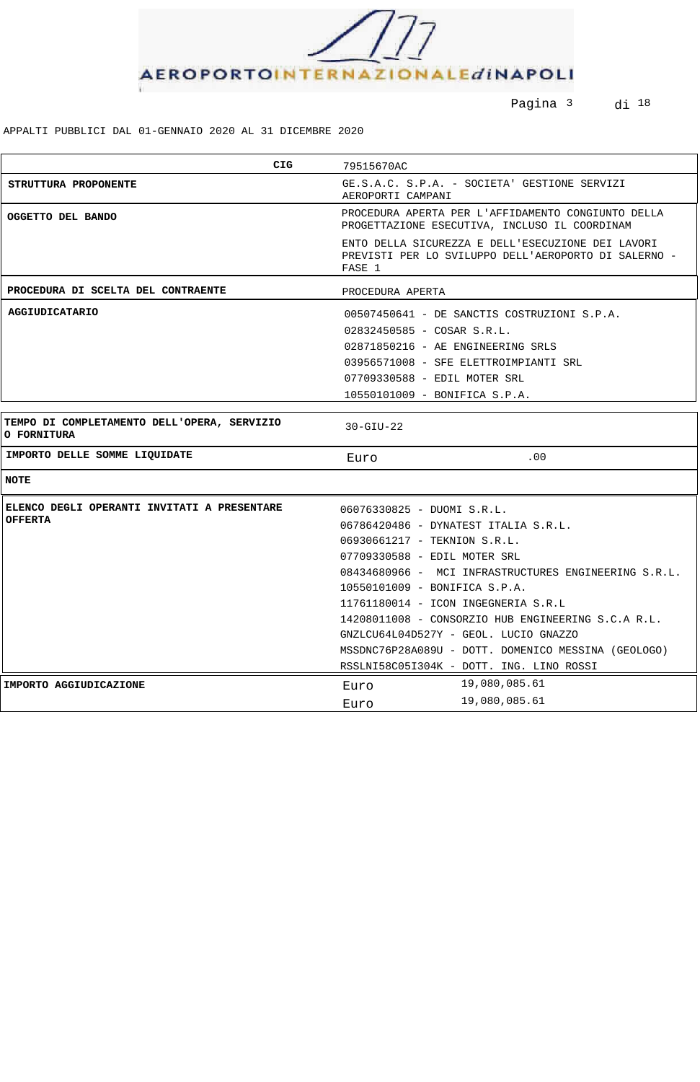

Pagina <sup>3</sup> di <sup>18</sup>

| CIG.                                                              | 79515670AC                                                                                                                                                                                                                                         |  |  |
|-------------------------------------------------------------------|----------------------------------------------------------------------------------------------------------------------------------------------------------------------------------------------------------------------------------------------------|--|--|
| STRUTTURA PROPONENTE                                              | GE.S.A.C. S.P.A. - SOCIETA' GESTIONE SERVIZI<br>AEROPORTI CAMPANI                                                                                                                                                                                  |  |  |
| OGGETTO DEL BANDO                                                 | PROCEDURA APERTA PER L'AFFIDAMENTO CONGIUNTO DELLA<br>PROGETTAZIONE ESECUTIVA, INCLUSO IL COORDINAM                                                                                                                                                |  |  |
|                                                                   | ENTO DELLA SICUREZZA E DELL'ESECUZIONE DEI LAVORI<br>PREVISTI PER LO SVILUPPO DELL'AEROPORTO DI SALERNO -<br>FASE 1                                                                                                                                |  |  |
| PROCEDURA DI SCELTA DEL CONTRAENTE                                | PROCEDURA APERTA                                                                                                                                                                                                                                   |  |  |
| <b>AGGIUDICATARIO</b>                                             | 00507450641 - DE SANCTIS COSTRUZIONI S.P.A.                                                                                                                                                                                                        |  |  |
|                                                                   | $02832450585 - COSAR S.R.L.$                                                                                                                                                                                                                       |  |  |
|                                                                   | 02871850216 - AE ENGINEERING SRLS                                                                                                                                                                                                                  |  |  |
|                                                                   | 03956571008 - SFE ELETTROIMPIANTI SRL                                                                                                                                                                                                              |  |  |
|                                                                   | 07709330588 - EDIL MOTER SRL                                                                                                                                                                                                                       |  |  |
|                                                                   | 10550101009 - BONIFICA S.P.A.                                                                                                                                                                                                                      |  |  |
| TEMPO DI COMPLETAMENTO DELL'OPERA, SERVIZIO<br><b>O FORNITURA</b> | $30-GIU-22$                                                                                                                                                                                                                                        |  |  |
| IMPORTO DELLE SOMME LIQUIDATE                                     | .00<br>Euro                                                                                                                                                                                                                                        |  |  |
| <b>NOTE</b>                                                       |                                                                                                                                                                                                                                                    |  |  |
| ELENCO DEGLI OPERANTI INVITATI A PRESENTARE                       | 06076330825 - DUOMI S.R.L.                                                                                                                                                                                                                         |  |  |
| <b>OFFERTA</b>                                                    | 06786420486 - DYNATEST ITALIA S.R.L.                                                                                                                                                                                                               |  |  |
|                                                                   | 06930661217 - TEKNION S.R.L.<br>07709330588 - EDIL MOTER SRL<br>08434680966 - MCI INFRASTRUCTURES ENGINEERING S.R.L.<br>10550101009 - BONIFICA S.P.A.<br>11761180014 - ICON INGEGNERIA S.R.L<br>14208011008 - CONSORZIO HUB ENGINEERING S.C.A R.L. |  |  |
|                                                                   |                                                                                                                                                                                                                                                    |  |  |
|                                                                   |                                                                                                                                                                                                                                                    |  |  |
|                                                                   |                                                                                                                                                                                                                                                    |  |  |
|                                                                   |                                                                                                                                                                                                                                                    |  |  |
|                                                                   |                                                                                                                                                                                                                                                    |  |  |
|                                                                   | GNZLCU64L04D527Y - GEOL. LUCIO GNAZZO                                                                                                                                                                                                              |  |  |
|                                                                   | MSSDNC76P28A089U - DOTT. DOMENICO MESSINA (GEOLOGO)                                                                                                                                                                                                |  |  |
|                                                                   | RSSLNI58C05I304K - DOTT. ING. LINO ROSSI                                                                                                                                                                                                           |  |  |
| IMPORTO AGGIUDICAZIONE                                            | 19,080,085.61<br>Euro                                                                                                                                                                                                                              |  |  |
|                                                                   | 19,080,085.61<br>Euro                                                                                                                                                                                                                              |  |  |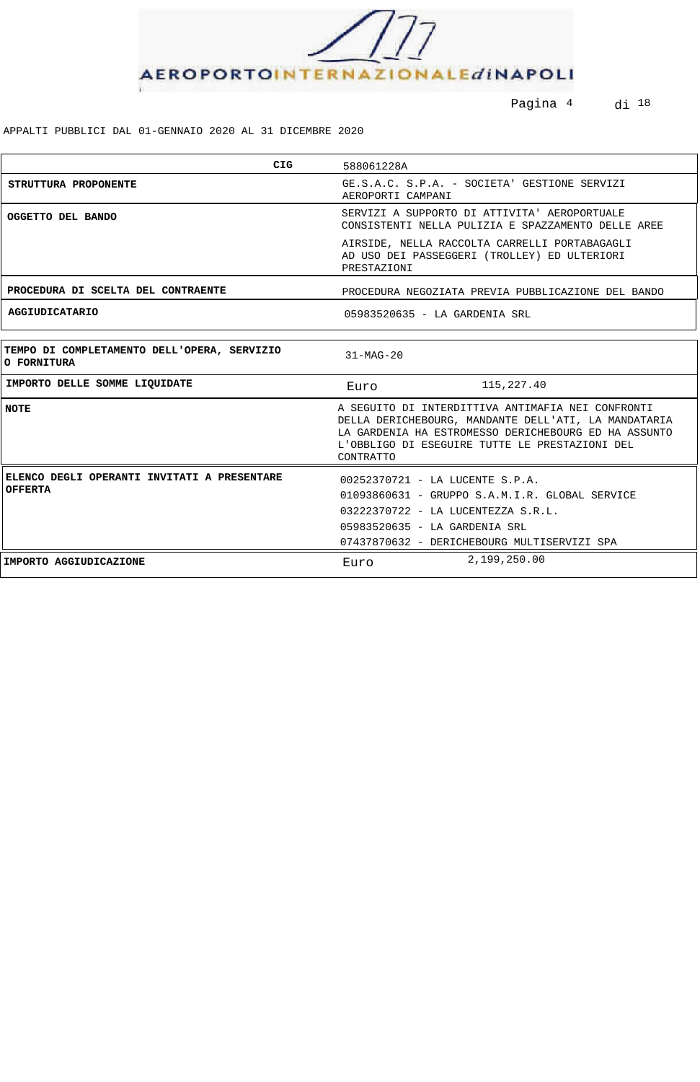

Pagina 4 di 18

| <b>CIG</b>                                                           | 588061228A                                                                                                                                                                                                                       |  |
|----------------------------------------------------------------------|----------------------------------------------------------------------------------------------------------------------------------------------------------------------------------------------------------------------------------|--|
| STRUTTURA PROPONENTE                                                 | GE.S.A.C. S.P.A. - SOCIETA' GESTIONE SERVIZI<br>AEROPORTI CAMPANI                                                                                                                                                                |  |
| OGGETTO DEL BANDO                                                    | SERVIZI A SUPPORTO DI ATTIVITA' AEROPORTUALE<br>CONSISTENTI NELLA PULIZIA E SPAZZAMENTO DELLE AREE                                                                                                                               |  |
|                                                                      | AIRSIDE, NELLA RACCOLTA CARRELLI PORTABAGAGLI<br>AD USO DEI PASSEGGERI (TROLLEY) ED ULTERIORI<br>PRESTAZIONI                                                                                                                     |  |
| PROCEDURA DI SCELTA DEL CONTRAENTE                                   | PROCEDURA NEGOZIATA PREVIA PUBBLICAZIONE DEL BANDO                                                                                                                                                                               |  |
| <b>AGGIUDICATARIO</b>                                                | 05983520635 - LA GARDENIA SRL                                                                                                                                                                                                    |  |
| TEMPO DI COMPLETAMENTO DELL'OPERA, SERVIZIO<br>O FORNITURA           | $31-MAG-20$                                                                                                                                                                                                                      |  |
| IMPORTO DELLE SOMME LIQUIDATE                                        | 115,227.40<br>Euro                                                                                                                                                                                                               |  |
| <b>NOTE</b>                                                          | A SEGUITO DI INTERDITTIVA ANTIMAFIA NEI CONFRONTI<br>DELLA DERICHEBOURG, MANDANTE DELL'ATI, LA MANDATARIA<br>LA GARDENIA HA ESTROMESSO DERICHEBOURG ED HA ASSUNTO<br>L'OBBLIGO DI ESEGUIRE TUTTE LE PRESTAZIONI DEL<br>CONTRATTO |  |
| <b>ELENCO DEGLI OPERANTI INVITATI A PRESENTARE</b><br><b>OFFERTA</b> | 00252370721 - LA LUCENTE S.P.A.<br>01093860631 - GRUPPO S.A.M.I.R. GLOBAL SERVICE<br>03222370722 - LA LUCENTEZZA S.R.L.<br>05983520635 - LA GARDENIA SRL<br>07437870632 - DERICHEBOURG MULTISERVIZI SPA                          |  |
| IMPORTO AGGIUDICAZIONE                                               | 2,199,250.00<br>Euro                                                                                                                                                                                                             |  |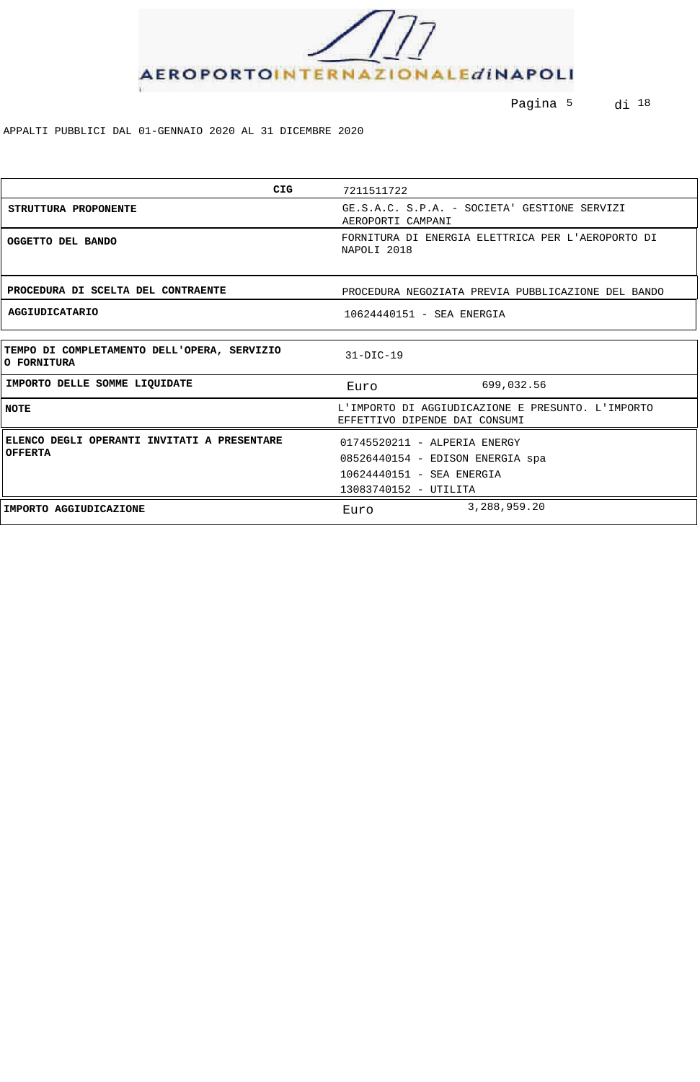

Pagina 5 di 18

| <b>CIG</b>                                                    | 7211511722                                                                                                             |  |  |
|---------------------------------------------------------------|------------------------------------------------------------------------------------------------------------------------|--|--|
| STRUTTURA PROPONENTE                                          | GE.S.A.C. S.P.A. - SOCIETA' GESTIONE SERVIZI<br>AEROPORTI CAMPANI                                                      |  |  |
| OGGETTO DEL BANDO                                             | FORNITURA DI ENERGIA ELETTRICA PER L'AEROPORTO DI<br>NAPOLI 2018                                                       |  |  |
| PROCEDURA DI SCELTA DEL CONTRAENTE                            | PROCEDURA NEGOZIATA PREVIA PUBBLICAZIONE DEL BANDO                                                                     |  |  |
| <b>AGGIUDICATARIO</b>                                         | 10624440151 - SEA ENERGIA                                                                                              |  |  |
|                                                               |                                                                                                                        |  |  |
| TEMPO DI COMPLETAMENTO DELL'OPERA, SERVIZIO<br>O FORNITURA    | $31-DIC-19$                                                                                                            |  |  |
| IMPORTO DELLE SOMME LIQUIDATE                                 | 699,032.56<br>Euro                                                                                                     |  |  |
| <b>NOTE</b>                                                   | L'IMPORTO DI AGGIUDICAZIONE E PRESUNTO. L'IMPORTO<br>EFFETTIVO DIPENDE DAI CONSUMI                                     |  |  |
| ELENCO DEGLI OPERANTI INVITATI A PRESENTARE<br><b>OFFERTA</b> | 01745520211 - ALPERIA ENERGY<br>08526440154 - EDISON ENERGIA spa<br>10624440151 - SEA ENERGIA<br>13083740152 - UTILITA |  |  |
| IMPORTO AGGIUDICAZIONE                                        | 3,288,959.20<br>Euro                                                                                                   |  |  |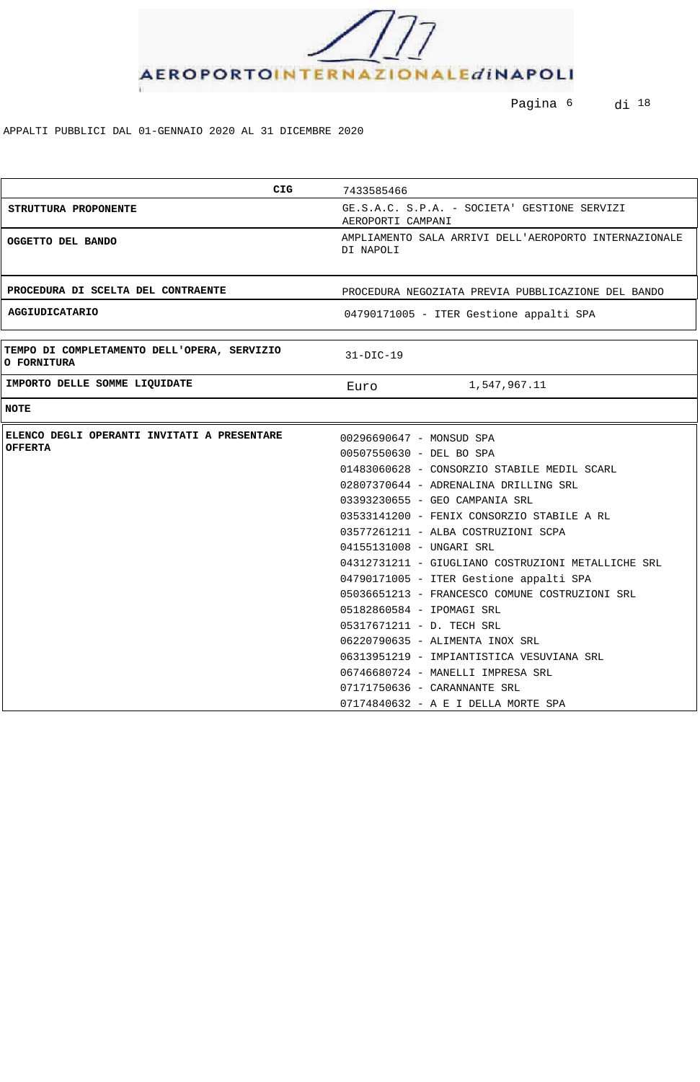

Pagina 6 di 18

| <b>CIG</b>                                                        | 7433585466                                                                                                                                                                                                                                                                                                                                                                                                                                                                                                                                                                                                                                                        |  |  |
|-------------------------------------------------------------------|-------------------------------------------------------------------------------------------------------------------------------------------------------------------------------------------------------------------------------------------------------------------------------------------------------------------------------------------------------------------------------------------------------------------------------------------------------------------------------------------------------------------------------------------------------------------------------------------------------------------------------------------------------------------|--|--|
| STRUTTURA PROPONENTE                                              | GE.S.A.C. S.P.A. - SOCIETA' GESTIONE SERVIZI<br>AEROPORTI CAMPANI                                                                                                                                                                                                                                                                                                                                                                                                                                                                                                                                                                                                 |  |  |
| OGGETTO DEL BANDO                                                 | AMPLIAMENTO SALA ARRIVI DELL'AEROPORTO INTERNAZIONALE<br>DI NAPOLI                                                                                                                                                                                                                                                                                                                                                                                                                                                                                                                                                                                                |  |  |
| PROCEDURA DI SCELTA DEL CONTRAENTE                                | PROCEDURA NEGOZIATA PREVIA PUBBLICAZIONE DEL BANDO                                                                                                                                                                                                                                                                                                                                                                                                                                                                                                                                                                                                                |  |  |
| <b>AGGIUDICATARIO</b>                                             | 04790171005 - ITER Gestione appalti SPA                                                                                                                                                                                                                                                                                                                                                                                                                                                                                                                                                                                                                           |  |  |
| TEMPO DI COMPLETAMENTO DELL'OPERA, SERVIZIO<br><b>O FORNITURA</b> | $31-DIC-19$                                                                                                                                                                                                                                                                                                                                                                                                                                                                                                                                                                                                                                                       |  |  |
| IMPORTO DELLE SOMME LIQUIDATE                                     | 1,547,967.11<br>Euro                                                                                                                                                                                                                                                                                                                                                                                                                                                                                                                                                                                                                                              |  |  |
| <b>NOTE</b>                                                       |                                                                                                                                                                                                                                                                                                                                                                                                                                                                                                                                                                                                                                                                   |  |  |
| ELENCO DEGLI OPERANTI INVITATI A PRESENTARE<br><b>OFFERTA</b>     | 00296690647 - MONSUD SPA<br>00507550630 - DEL BO SPA<br>01483060628 - CONSORZIO STABILE MEDIL SCARL<br>02807370644 - ADRENALINA DRILLING SRL<br>03393230655 - GEO CAMPANIA SRL<br>03533141200 - FENIX CONSORZIO STABILE A RL<br>03577261211 - ALBA COSTRUZIONI SCPA<br>04155131008 - UNGARI SRL<br>04312731211 - GIUGLIANO COSTRUZIONI METALLICHE SRL<br>04790171005 - ITER Gestione appalti SPA<br>05036651213 - FRANCESCO COMUNE COSTRUZIONI SRL<br>05182860584 - IPOMAGI SRL<br>05317671211 - D. TECH SRL<br>06220790635 - ALIMENTA INOX SRL<br>06313951219 - IMPIANTISTICA VESUVIANA SRL<br>06746680724 - MANELLI IMPRESA SRL<br>07171750636 - CARANNANTE SRL |  |  |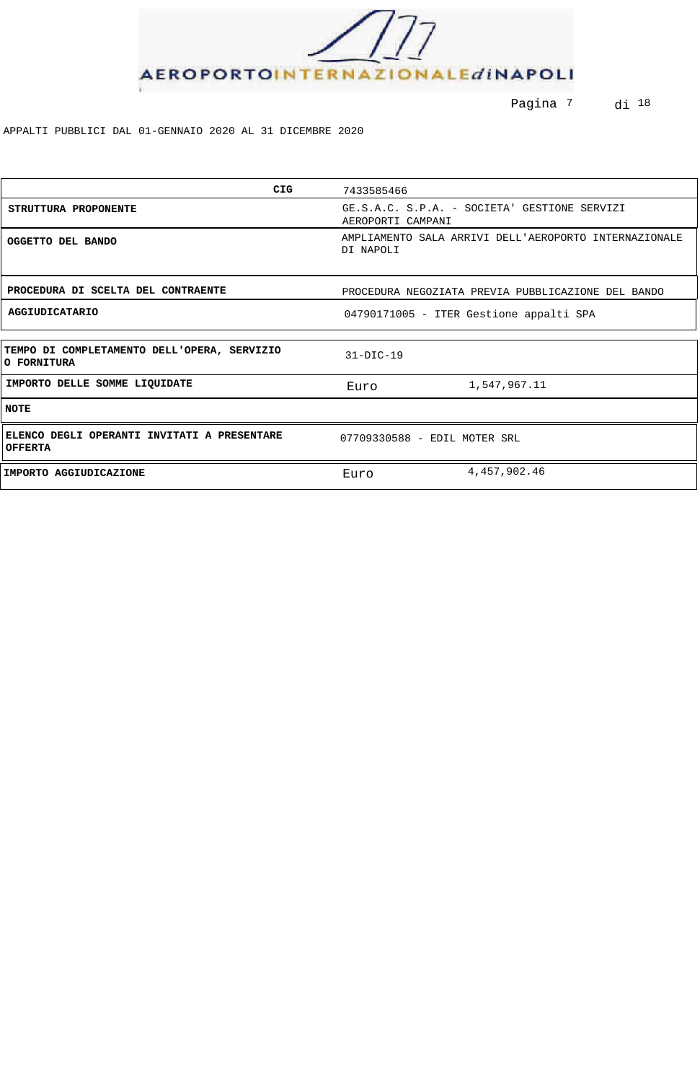

Pagina <sup>7</sup> di <sup>18</sup>

| <b>CIG</b>                                                    | 7433585466                                                         |  |
|---------------------------------------------------------------|--------------------------------------------------------------------|--|
| STRUTTURA PROPONENTE                                          | GE.S.A.C. S.P.A. - SOCIETA' GESTIONE SERVIZI<br>AEROPORTI CAMPANI  |  |
| OGGETTO DEL BANDO                                             | AMPLIAMENTO SALA ARRIVI DELL'AEROPORTO INTERNAZIONALE<br>DI NAPOLI |  |
| PROCEDURA DI SCELTA DEL CONTRAENTE                            | PROCEDURA NEGOZIATA PREVIA PUBBLICAZIONE DEL BANDO                 |  |
| <b>AGGIUDICATARIO</b>                                         | 04790171005 - ITER Gestione appalti SPA                            |  |
|                                                               |                                                                    |  |
| TEMPO DI COMPLETAMENTO DELL'OPERA, SERVIZIO<br>O FORNITURA    | $31-DIC-19$                                                        |  |
| IMPORTO DELLE SOMME LIQUIDATE                                 | 1,547,967.11<br>Euro                                               |  |
| <b>NOTE</b>                                                   |                                                                    |  |
| ELENCO DEGLI OPERANTI INVITATI A PRESENTARE<br><b>OFFERTA</b> | 07709330588 - EDIL MOTER SRL                                       |  |
| IMPORTO AGGIUDICAZIONE                                        | 4, 457, 902. 46<br>Euro                                            |  |
|                                                               |                                                                    |  |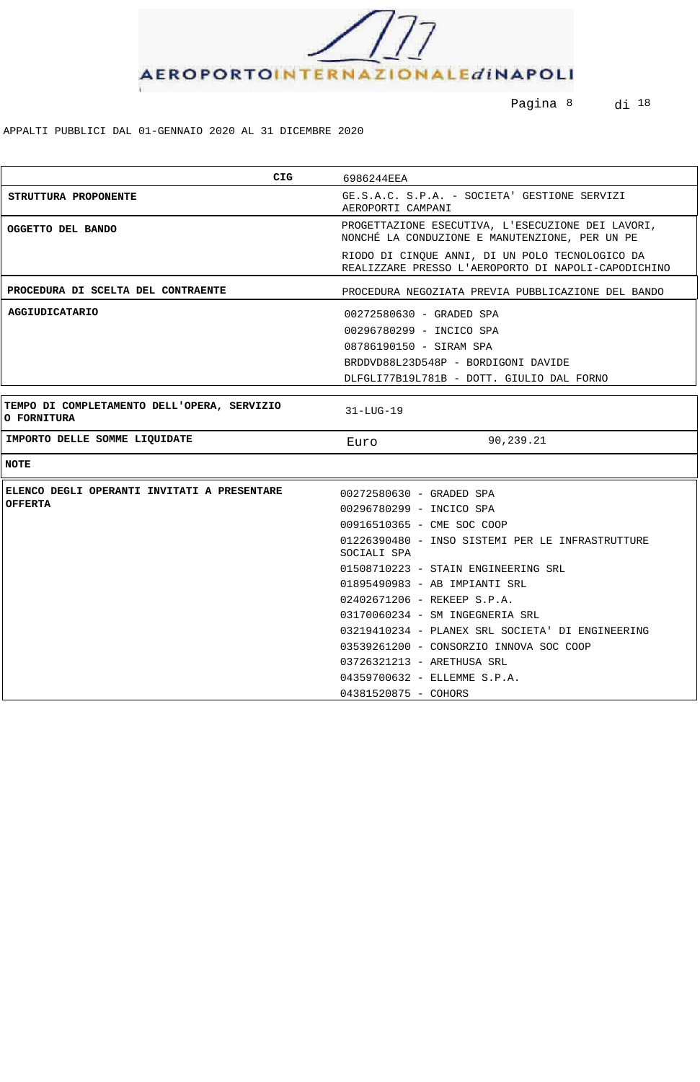

Pagina 8 di 18

| CIG                                                        | 6986244EEA                                                                                             |  |  |
|------------------------------------------------------------|--------------------------------------------------------------------------------------------------------|--|--|
| STRUTTURA PROPONENTE                                       | GE.S.A.C. S.P.A. - SOCIETA' GESTIONE SERVIZI<br>AEROPORTI CAMPANI                                      |  |  |
| OGGETTO DEL BANDO                                          | PROGETTAZIONE ESECUTIVA, L'ESECUZIONE DEI LAVORI,<br>NONCHÉ LA CONDUZIONE E MANUTENZIONE, PER UN PE    |  |  |
|                                                            | RIODO DI CINQUE ANNI, DI UN POLO TECNOLOGICO DA<br>REALIZZARE PRESSO L'AEROPORTO DI NAPOLI-CAPODICHINO |  |  |
| PROCEDURA DI SCELTA DEL CONTRAENTE                         | PROCEDURA NEGOZIATA PREVIA PUBBLICAZIONE DEL BANDO                                                     |  |  |
| <b>AGGIUDICATARIO</b>                                      | 00272580630 - GRADED SPA                                                                               |  |  |
|                                                            | 00296780299 - INCICO SPA                                                                               |  |  |
|                                                            | 08786190150 - SIRAM SPA                                                                                |  |  |
|                                                            | BRDDVD88L23D548P - BORDIGONI DAVIDE                                                                    |  |  |
|                                                            | DLFGLI77B19L781B - DOTT. GIULIO DAL FORNO                                                              |  |  |
|                                                            |                                                                                                        |  |  |
| TEMPO DI COMPLETAMENTO DELL'OPERA, SERVIZIO<br>O FORNITURA | $31 - LUG - 19$                                                                                        |  |  |
| IMPORTO DELLE SOMME LIQUIDATE                              | 90,239.21<br>Euro                                                                                      |  |  |
| <b>NOTE</b>                                                |                                                                                                        |  |  |
| ELENCO DEGLI OPERANTI INVITATI A PRESENTARE                | 00272580630 - GRADED SPA                                                                               |  |  |
| <b>OFFERTA</b>                                             | 00296780299 - INCICO SPA                                                                               |  |  |
|                                                            | 00916510365 - CME SOC COOP                                                                             |  |  |
|                                                            | 01226390480 - INSO SISTEMI PER LE INFRASTRUTTURE<br>SOCIALI SPA                                        |  |  |
|                                                            | 01508710223 - STAIN ENGINEERING SRL                                                                    |  |  |
|                                                            | 01895490983 - AB IMPIANTI SRL                                                                          |  |  |
|                                                            | 02402671206 - REKEEP S.P.A.                                                                            |  |  |
|                                                            | 03170060234 - SM INGEGNERIA SRL                                                                        |  |  |
|                                                            | 03219410234 - PLANEX SRL SOCIETA' DI ENGINEERING                                                       |  |  |
|                                                            | 03539261200 - CONSORZIO INNOVA SOC COOP                                                                |  |  |
|                                                            | 03726321213 - ARETHUSA SRL                                                                             |  |  |
|                                                            | 04359700632 - ELLEMME S.P.A.                                                                           |  |  |
|                                                            | 04381520875 - COHORS                                                                                   |  |  |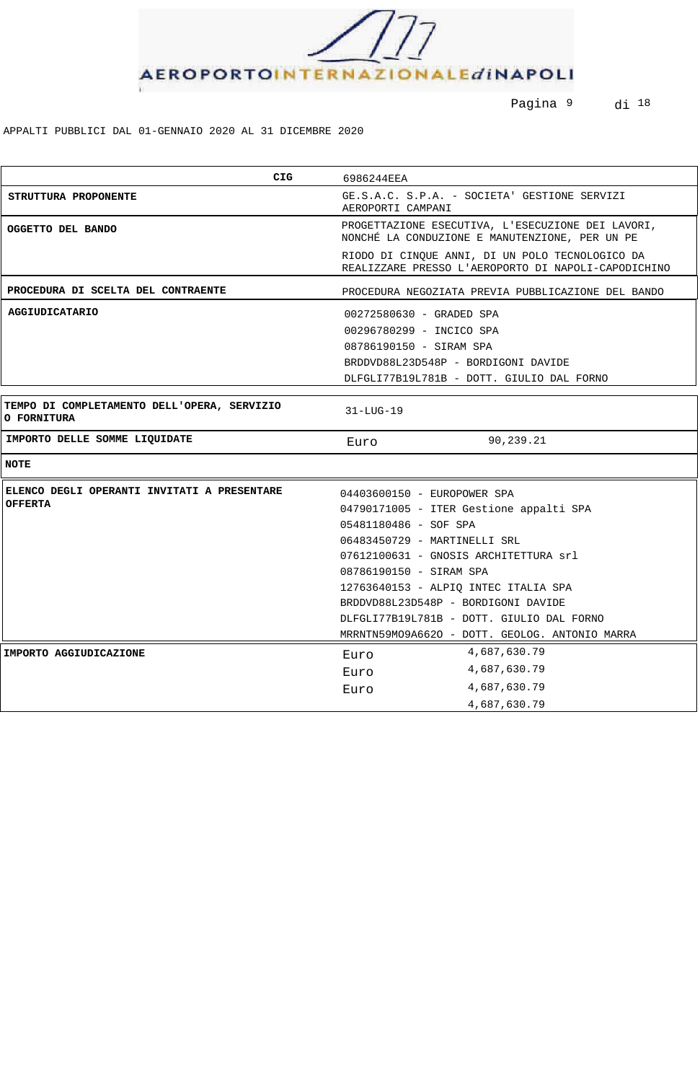

Pagina 9 di 18

| <b>CIG</b>                                                        | 6986244EEA                                                                                             |  |  |
|-------------------------------------------------------------------|--------------------------------------------------------------------------------------------------------|--|--|
| STRUTTURA PROPONENTE                                              | GE.S.A.C. S.P.A. - SOCIETA' GESTIONE SERVIZI<br>AEROPORTI CAMPANI                                      |  |  |
| OGGETTO DEL BANDO                                                 | PROGETTAZIONE ESECUTIVA, L'ESECUZIONE DEI LAVORI,<br>NONCHÉ LA CONDUZIONE E MANUTENZIONE, PER UN PE    |  |  |
|                                                                   | RIODO DI CINQUE ANNI, DI UN POLO TECNOLOGICO DA<br>REALIZZARE PRESSO L'AEROPORTO DI NAPOLI-CAPODICHINO |  |  |
| PROCEDURA DI SCELTA DEL CONTRAENTE                                | PROCEDURA NEGOZIATA PREVIA PUBBLICAZIONE DEL BANDO                                                     |  |  |
| <b>AGGIUDICATARIO</b>                                             | 00272580630 - GRADED SPA                                                                               |  |  |
|                                                                   | 00296780299 - INCICO SPA                                                                               |  |  |
|                                                                   | 08786190150 - SIRAM SPA                                                                                |  |  |
|                                                                   | BRDDVD88L23D548P - BORDIGONI DAVIDE                                                                    |  |  |
|                                                                   | DLFGLI77B19L781B - DOTT. GIULIO DAL FORNO                                                              |  |  |
|                                                                   |                                                                                                        |  |  |
| TEMPO DI COMPLETAMENTO DELL'OPERA, SERVIZIO<br><b>O FORNITURA</b> | 31-LUG-19                                                                                              |  |  |
| IMPORTO DELLE SOMME LIQUIDATE                                     | 90,239.21<br>Euro                                                                                      |  |  |
| <b>NOTE</b>                                                       |                                                                                                        |  |  |
| ELENCO DEGLI OPERANTI INVITATI A PRESENTARE                       | 04403600150 - EUROPOWER SPA                                                                            |  |  |
| <b>OFFERTA</b>                                                    | 04790171005 - ITER Gestione appalti SPA                                                                |  |  |
|                                                                   | 05481180486 - SOF SPA                                                                                  |  |  |
|                                                                   | 06483450729 - MARTINELLI SRL                                                                           |  |  |
|                                                                   | 07612100631 - GNOSIS ARCHITETTURA srl                                                                  |  |  |
|                                                                   | 08786190150 - SIRAM SPA                                                                                |  |  |
|                                                                   | 12763640153 - ALPIO INTEC ITALIA SPA                                                                   |  |  |
|                                                                   | BRDDVD88L23D548P - BORDIGONI DAVIDE                                                                    |  |  |
|                                                                   | DLFGLI77B19L781B - DOTT. GIULIO DAL FORNO                                                              |  |  |
|                                                                   | MRRNTN59MO9A6620 - DOTT. GEOLOG. ANTONIO MARRA                                                         |  |  |
| IMPORTO AGGIUDICAZIONE                                            | 4,687,630.79<br>Euro                                                                                   |  |  |
|                                                                   | 4,687,630.79<br>Euro                                                                                   |  |  |
|                                                                   | 4,687,630.79<br>Euro                                                                                   |  |  |
|                                                                   | 4,687,630.79                                                                                           |  |  |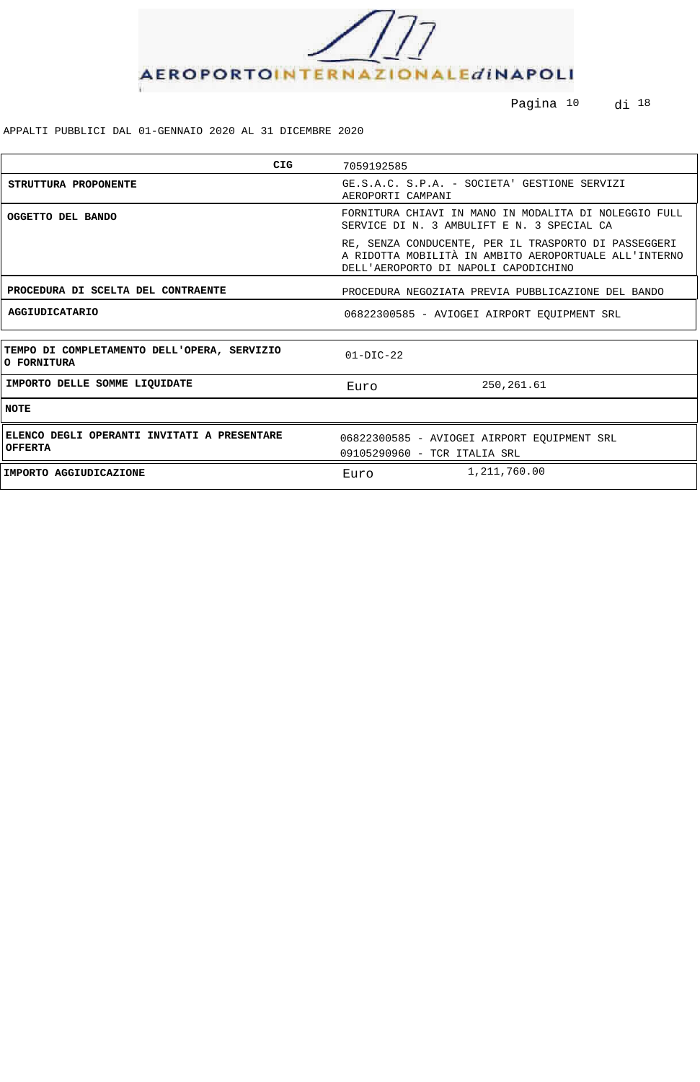

Pagina <sup>10</sup> di <sup>18</sup>

| CIG                                                           | 7059192585                                                                                                                                            |  |  |
|---------------------------------------------------------------|-------------------------------------------------------------------------------------------------------------------------------------------------------|--|--|
| STRUTTURA PROPONENTE                                          | GE.S.A.C. S.P.A. - SOCIETA' GESTIONE SERVIZI<br>AEROPORTI CAMPANI                                                                                     |  |  |
| OGGETTO DEL BANDO                                             | FORNITURA CHIAVI IN MANO IN MODALITA DI NOLEGGIO FULL<br>SERVICE DI N. 3 AMBULIFT E N. 3 SPECIAL CA                                                   |  |  |
|                                                               | RE, SENZA CONDUCENTE, PER IL TRASPORTO DI PASSEGGERI<br>A RIDOTTA MOBILITÀ IN AMBITO AEROPORTUALE ALL'INTERNO<br>DELL'AEROPORTO DI NAPOLI CAPODICHINO |  |  |
| PROCEDURA DI SCELTA DEL CONTRAENTE                            | PROCEDURA NEGOZIATA PREVIA PUBBLICAZIONE DEL BANDO                                                                                                    |  |  |
| <b>AGGIUDICATARIO</b>                                         | 06822300585 - AVIOGEI AIRPORT EOUIPMENT SRL                                                                                                           |  |  |
|                                                               |                                                                                                                                                       |  |  |
| TEMPO DI COMPLETAMENTO DELL'OPERA, SERVIZIO<br>O FORNITURA    | $01-DIC-22$                                                                                                                                           |  |  |
| IMPORTO DELLE SOMME LIQUIDATE                                 | 250,261.61<br>Euro                                                                                                                                    |  |  |
| <b>NOTE</b>                                                   |                                                                                                                                                       |  |  |
| ELENCO DEGLI OPERANTI INVITATI A PRESENTARE<br><b>OFFERTA</b> | 06822300585 - AVIOGEI AIRPORT EQUIPMENT SRL<br>09105290960 - TCR ITALIA SRL                                                                           |  |  |
| IMPORTO AGGIUDICAZIONE                                        | 1,211,760.00<br>Euro                                                                                                                                  |  |  |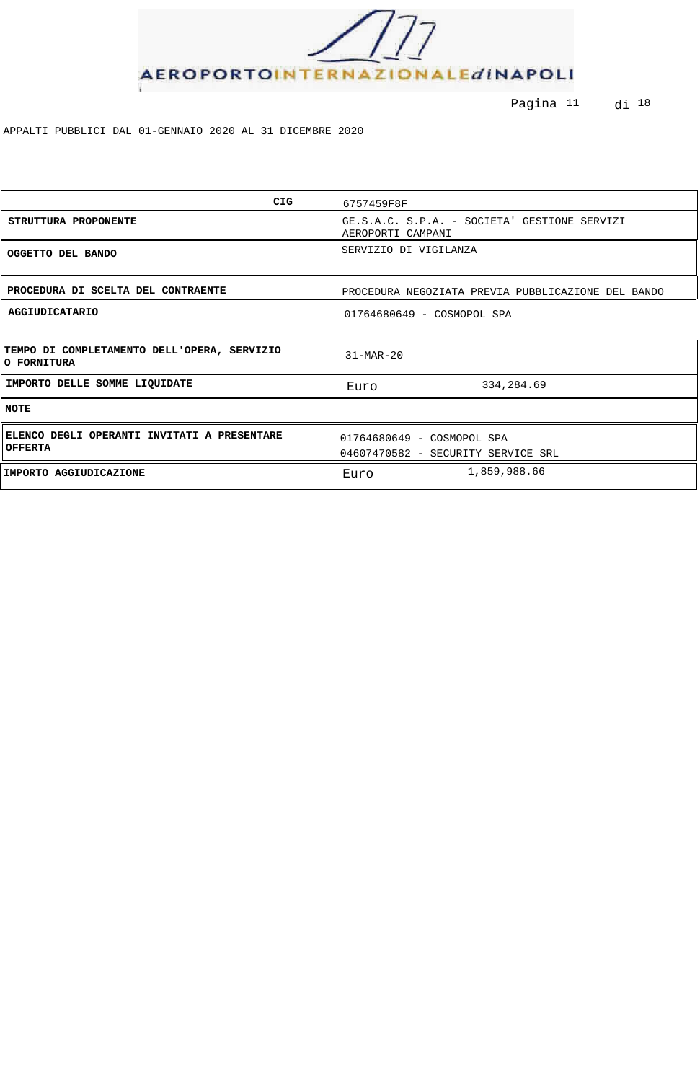

Pagina <sup>11</sup> di <sup>18</sup>

| <b>CIG</b>                                                    | 6757459F8F                                                        |  |  |
|---------------------------------------------------------------|-------------------------------------------------------------------|--|--|
| STRUTTURA PROPONENTE                                          | GE.S.A.C. S.P.A. - SOCIETA' GESTIONE SERVIZI<br>AEROPORTI CAMPANI |  |  |
| OGGETTO DEL BANDO                                             | SERVIZIO DI VIGILANZA                                             |  |  |
| PROCEDURA DI SCELTA DEL CONTRAENTE                            | PROCEDURA NEGOZIATA PREVIA PUBBLICAZIONE DEL BANDO                |  |  |
| <b>AGGIUDICATARIO</b>                                         | 01764680649 - COSMOPOL SPA                                        |  |  |
| TEMPO DI COMPLETAMENTO DELL'OPERA, SERVIZIO<br>O FORNITURA    | $31-MAR-20$                                                       |  |  |
| IMPORTO DELLE SOMME LIQUIDATE                                 | 334,284.69<br>Euro                                                |  |  |
| <b>NOTE</b>                                                   |                                                                   |  |  |
| ELENCO DEGLI OPERANTI INVITATI A PRESENTARE<br><b>OFFERTA</b> | 01764680649 - COSMOPOL SPA<br>04607470582 - SECURITY SERVICE SRL  |  |  |
| IMPORTO AGGIUDICAZIONE                                        | 1,859,988.66<br>Euro                                              |  |  |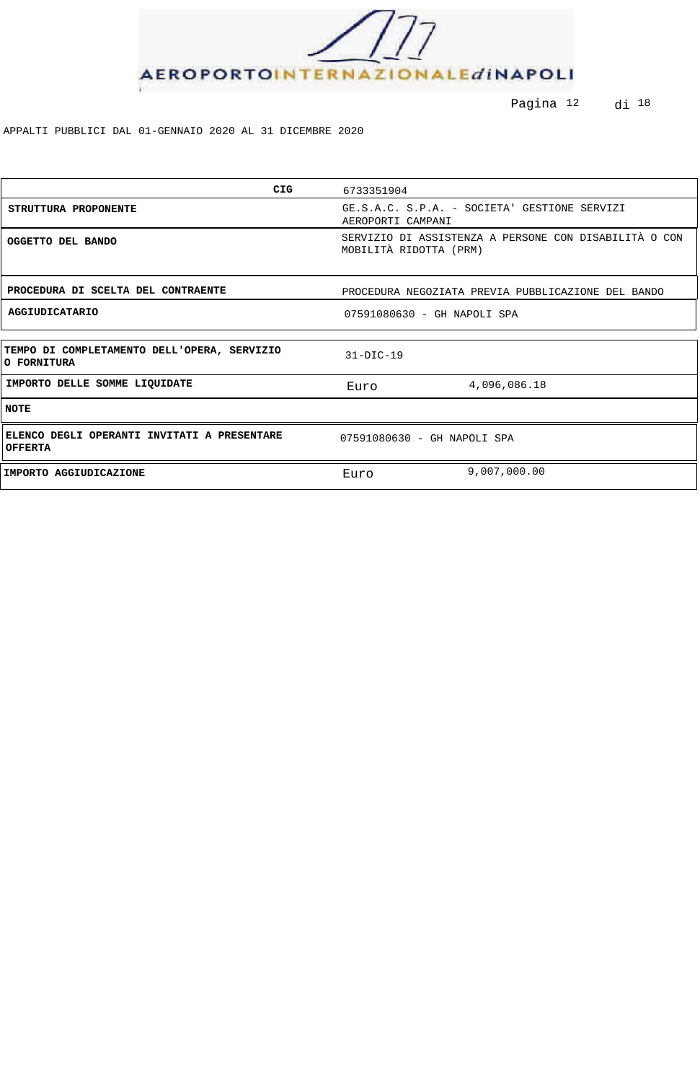

Pagina <sup>12</sup> di <sup>18</sup>

| <b>CIG</b>                                                    | 6733351904                                                                      |              |
|---------------------------------------------------------------|---------------------------------------------------------------------------------|--------------|
| STRUTTURA PROPONENTE                                          | GE.S.A.C. S.P.A. - SOCIETA' GESTIONE SERVIZI<br>AEROPORTI CAMPANI               |              |
| OGGETTO DEL BANDO                                             | SERVIZIO DI ASSISTENZA A PERSONE CON DISABILITÀ O CON<br>MOBILITÀ RIDOTTA (PRM) |              |
| PROCEDURA DI SCELTA DEL CONTRAENTE                            | PROCEDURA NEGOZIATA PREVIA PUBBLICAZIONE DEL BANDO                              |              |
| AGGIUDICATARIO                                                | 07591080630 - GH NAPOLI SPA                                                     |              |
|                                                               |                                                                                 |              |
| TEMPO DI COMPLETAMENTO DELL'OPERA, SERVIZIO<br>O FORNITURA    | $31-DIC-19$                                                                     |              |
| IMPORTO DELLE SOMME LIQUIDATE                                 | Euro                                                                            | 4,096,086.18 |
| <b>NOTE</b>                                                   |                                                                                 |              |
| ELENCO DEGLI OPERANTI INVITATI A PRESENTARE<br><b>OFFERTA</b> | 07591080630 - GH NAPOLI SPA                                                     |              |
| IMPORTO AGGIUDICAZIONE                                        | Euro                                                                            | 9,007,000.00 |
|                                                               |                                                                                 |              |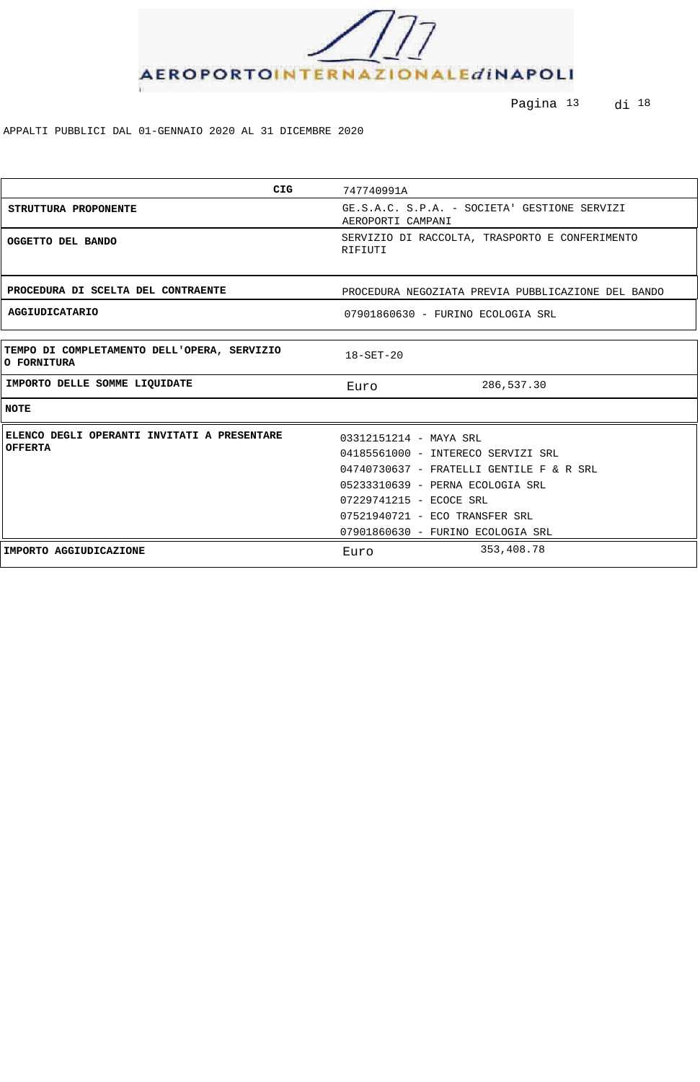

Pagina <sup>13</sup> di <sup>18</sup>

| <b>CIG</b>                                                 | 747740991A                                                        |
|------------------------------------------------------------|-------------------------------------------------------------------|
| STRUTTURA PROPONENTE                                       | GE.S.A.C. S.P.A. - SOCIETA' GESTIONE SERVIZI<br>AEROPORTI CAMPANI |
| OGGETTO DEL BANDO                                          | SERVIZIO DI RACCOLTA, TRASPORTO E CONFERIMENTO<br>RIFIUTI         |
| PROCEDURA DI SCELTA DEL CONTRAENTE                         | PROCEDURA NEGOZIATA PREVIA PUBBLICAZIONE DEL BANDO                |
| <b>AGGIUDICATARIO</b>                                      | 07901860630 - FURINO ECOLOGIA SRL                                 |
|                                                            |                                                                   |
| TEMPO DI COMPLETAMENTO DELL'OPERA, SERVIZIO<br>O FORNITURA | $18 - SET - 20$                                                   |
| IMPORTO DELLE SOMME LIQUIDATE                              | 286,537.30<br>Euro                                                |
| <b>NOTE</b>                                                |                                                                   |
| ELENCO DEGLI OPERANTI INVITATI A PRESENTARE                | 03312151214 - MAYA SRL                                            |
| <b>OFFERTA</b>                                             | 04185561000 - INTERECO SERVIZI SRL                                |
|                                                            | 04740730637 - FRATELLI GENTILE F & R SRL                          |
|                                                            | 05233310639 - PERNA ECOLOGIA SRL                                  |
|                                                            | 07229741215 - ECOCE SRL                                           |
|                                                            | 07521940721 - ECO TRANSFER SRL                                    |
|                                                            | 07901860630 - FURINO ECOLOGIA SRL                                 |
| IMPORTO AGGIUDICAZIONE                                     | 353,408.78<br>Euro                                                |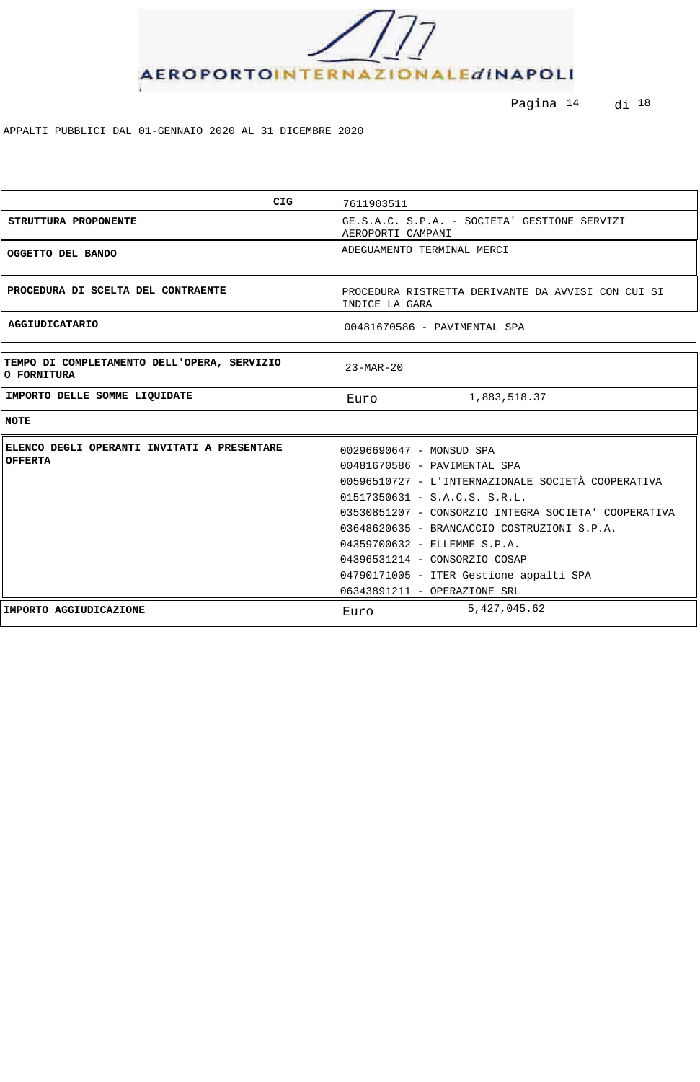

Pagina <sup>14</sup> di <sup>18</sup>

| <b>CIG</b>                                                    | 7611903511                                                                                                                                                                                                                                                                                                                                                                                           |
|---------------------------------------------------------------|------------------------------------------------------------------------------------------------------------------------------------------------------------------------------------------------------------------------------------------------------------------------------------------------------------------------------------------------------------------------------------------------------|
| STRUTTURA PROPONENTE                                          | GE.S.A.C. S.P.A. - SOCIETA' GESTIONE SERVIZI<br>AEROPORTI CAMPANI                                                                                                                                                                                                                                                                                                                                    |
| OGGETTO DEL BANDO                                             | ADEGUAMENTO TERMINAL MERCI                                                                                                                                                                                                                                                                                                                                                                           |
| PROCEDURA DI SCELTA DEL CONTRAENTE                            | PROCEDURA RISTRETTA DERIVANTE DA AVVISI CON CUI SI<br>INDICE LA GARA                                                                                                                                                                                                                                                                                                                                 |
| <b>AGGIUDICATARIO</b>                                         | 00481670586 - PAVIMENTAL SPA                                                                                                                                                                                                                                                                                                                                                                         |
| TEMPO DI COMPLETAMENTO DELL'OPERA, SERVIZIO<br>O FORNITURA    | $23 - \text{MAR} - 20$                                                                                                                                                                                                                                                                                                                                                                               |
| IMPORTO DELLE SOMME LIQUIDATE                                 | 1,883,518.37<br>Euro                                                                                                                                                                                                                                                                                                                                                                                 |
| <b>NOTE</b>                                                   |                                                                                                                                                                                                                                                                                                                                                                                                      |
| ELENCO DEGLI OPERANTI INVITATI A PRESENTARE<br><b>OFFERTA</b> | 00296690647 - MONSUD SPA<br>00481670586 - PAVIMENTAL SPA<br>00596510727 - L'INTERNAZIONALE SOCIETÀ COOPERATIVA<br>$01517350631 - S.A.C.S. S.R.L.$<br>03530851207 - CONSORZIO INTEGRA SOCIETA' COOPERATIVA<br>03648620635 - BRANCACCIO COSTRUZIONI S.P.A.<br>04359700632 - ELLEMME S.P.A.<br>04396531214 - CONSORZIO COSAP<br>04790171005 - ITER Gestione appalti SPA<br>06343891211 - OPERAZIONE SRL |
| IMPORTO AGGIUDICAZIONE                                        | 5,427,045.62<br>Euro                                                                                                                                                                                                                                                                                                                                                                                 |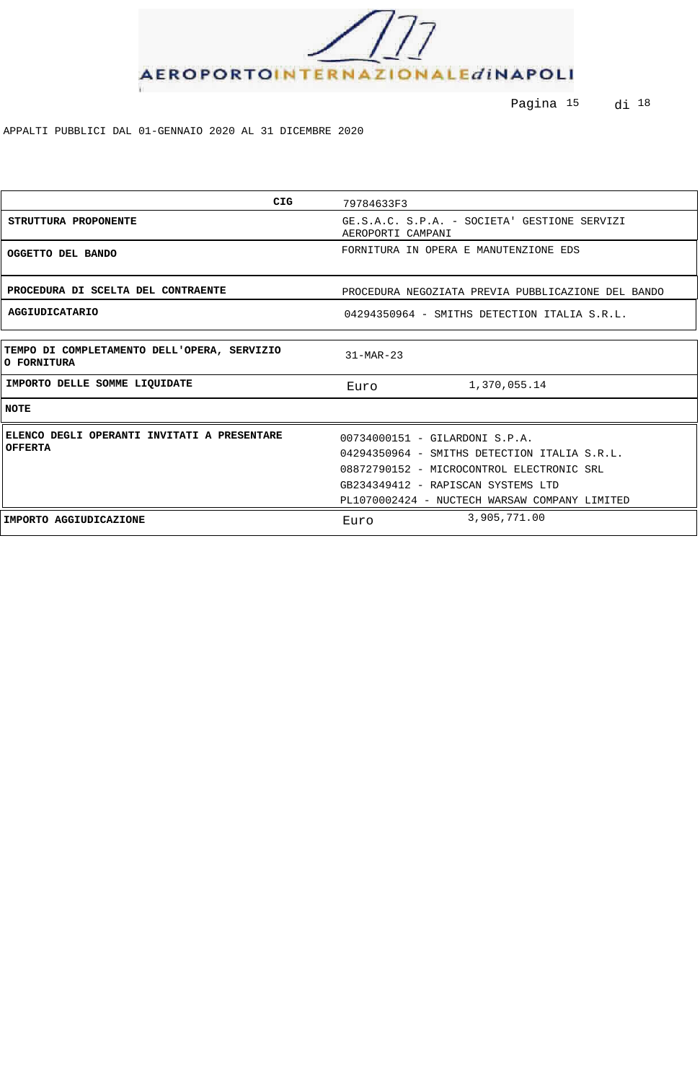

Pagina 15 di 18

| <b>CIG</b>                                                    | 79784633F3                                                                                                                  |
|---------------------------------------------------------------|-----------------------------------------------------------------------------------------------------------------------------|
| STRUTTURA PROPONENTE                                          | GE.S.A.C. S.P.A. - SOCIETA' GESTIONE SERVIZI<br>AEROPORTI CAMPANI                                                           |
| OGGETTO DEL BANDO                                             | FORNITURA IN OPERA E MANUTENZIONE EDS                                                                                       |
| PROCEDURA DI SCELTA DEL CONTRAENTE                            | PROCEDURA NEGOZIATA PREVIA PUBBLICAZIONE DEL BANDO                                                                          |
| <b>AGGIUDICATARIO</b>                                         | 04294350964 - SMITHS DETECTION ITALIA S.R.L.                                                                                |
| TEMPO DI COMPLETAMENTO DELL'OPERA, SERVIZIO<br>O FORNITURA    | $31-MAR-23$                                                                                                                 |
| IMPORTO DELLE SOMME LIQUIDATE                                 | 1,370,055.14<br>Euro                                                                                                        |
| <b>NOTE</b>                                                   |                                                                                                                             |
| ELENCO DEGLI OPERANTI INVITATI A PRESENTARE<br><b>OFFERTA</b> | 00734000151 - GILARDONI S.P.A.<br>04294350964 - SMITHS DETECTION ITALIA S.R.L.<br>08872790152 - MICROCONTROL ELECTRONIC SRL |
|                                                               | GB234349412 - RAPISCAN SYSTEMS LTD<br>PL1070002424 - NUCTECH WARSAW COMPANY LIMITED                                         |
| IMPORTO AGGIUDICAZIONE                                        | 3,905,771.00<br>Euro                                                                                                        |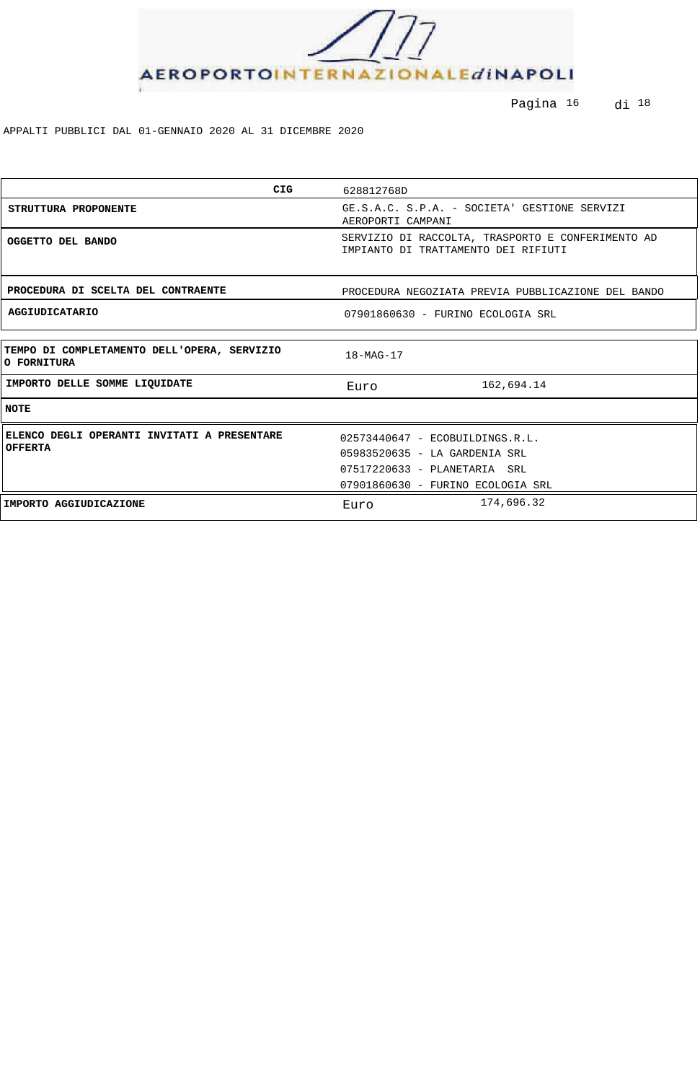

Pagina <sup>16</sup> di <sup>18</sup>

| CIG                                                           | 628812768D                                                                               |
|---------------------------------------------------------------|------------------------------------------------------------------------------------------|
| STRUTTURA PROPONENTE                                          | GE.S.A.C. S.P.A. - SOCIETA' GESTIONE SERVIZI<br>AEROPORTI CAMPANI                        |
| OGGETTO DEL BANDO                                             | SERVIZIO DI RACCOLTA, TRASPORTO E CONFERIMENTO AD<br>IMPIANTO DI TRATTAMENTO DEI RIFIUTI |
| PROCEDURA DI SCELTA DEL CONTRAENTE                            | PROCEDURA NEGOZIATA PREVIA PUBBLICAZIONE DEL BANDO                                       |
| AGGIUDICATARIO                                                | 07901860630 - FURINO ECOLOGIA SRL                                                        |
|                                                               |                                                                                          |
| TEMPO DI COMPLETAMENTO DELL'OPERA, SERVIZIO<br>O FORNITURA    | $18 - MAG - 17$                                                                          |
| IMPORTO DELLE SOMME LIQUIDATE                                 | 162,694.14<br>Euro                                                                       |
| <b>NOTE</b>                                                   |                                                                                          |
| ELENCO DEGLI OPERANTI INVITATI A PRESENTARE<br><b>OFFERTA</b> | 02573440647 - ECOBUILDINGS.R.L.                                                          |
|                                                               | 05983520635 - LA GARDENIA SRL                                                            |
|                                                               | 07517220633 - PLANETARIA SRL                                                             |
|                                                               | 07901860630 - FURINO ECOLOGIA SRL                                                        |
| IMPORTO AGGIUDICAZIONE                                        | 174,696.32<br>Euro                                                                       |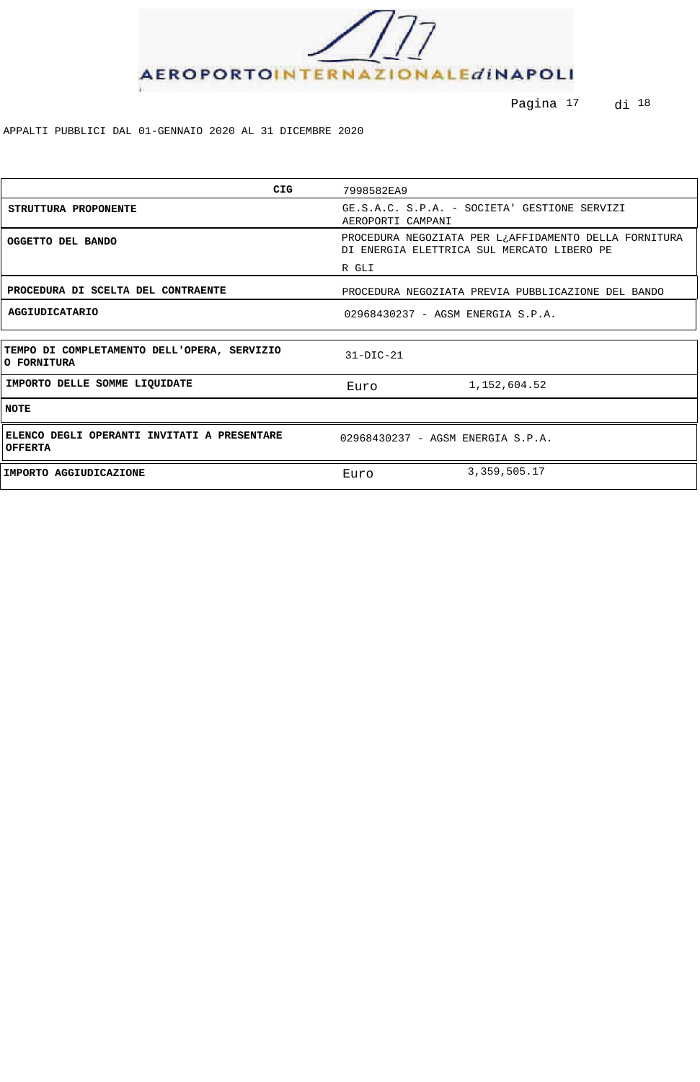

Pagina <sup>17</sup> di <sup>18</sup>

| CIG                                                           | 7998582EA9                                                                                          |
|---------------------------------------------------------------|-----------------------------------------------------------------------------------------------------|
| STRUTTURA PROPONENTE                                          | GE.S.A.C. S.P.A. - SOCIETA' GESTIONE SERVIZI<br>AEROPORTI CAMPANI                                   |
| OGGETTO DEL BANDO                                             | PROCEDURA NEGOZIATA PER L¿AFFIDAMENTO DELLA FORNITURA<br>DI ENERGIA ELETTRICA SUL MERCATO LIBERO PE |
|                                                               | R GLI                                                                                               |
| PROCEDURA DI SCELTA DEL CONTRAENTE                            | PROCEDURA NEGOZIATA PREVIA PUBBLICAZIONE DEL BANDO                                                  |
| <b>AGGIUDICATARIO</b>                                         | 02968430237 - AGSM ENERGIA S.P.A.                                                                   |
|                                                               |                                                                                                     |
| TEMPO DI COMPLETAMENTO DELL'OPERA, SERVIZIO<br>O FORNITURA    | $31-DIC-21$                                                                                         |
| IMPORTO DELLE SOMME LIQUIDATE                                 | 1,152,604.52<br>Euro                                                                                |
| <b>NOTE</b>                                                   |                                                                                                     |
| ELENCO DEGLI OPERANTI INVITATI A PRESENTARE<br><b>OFFERTA</b> | 02968430237 - AGSM ENERGIA S.P.A.                                                                   |
| IMPORTO AGGIUDICAZIONE                                        | 3, 359, 505.17<br>Euro                                                                              |